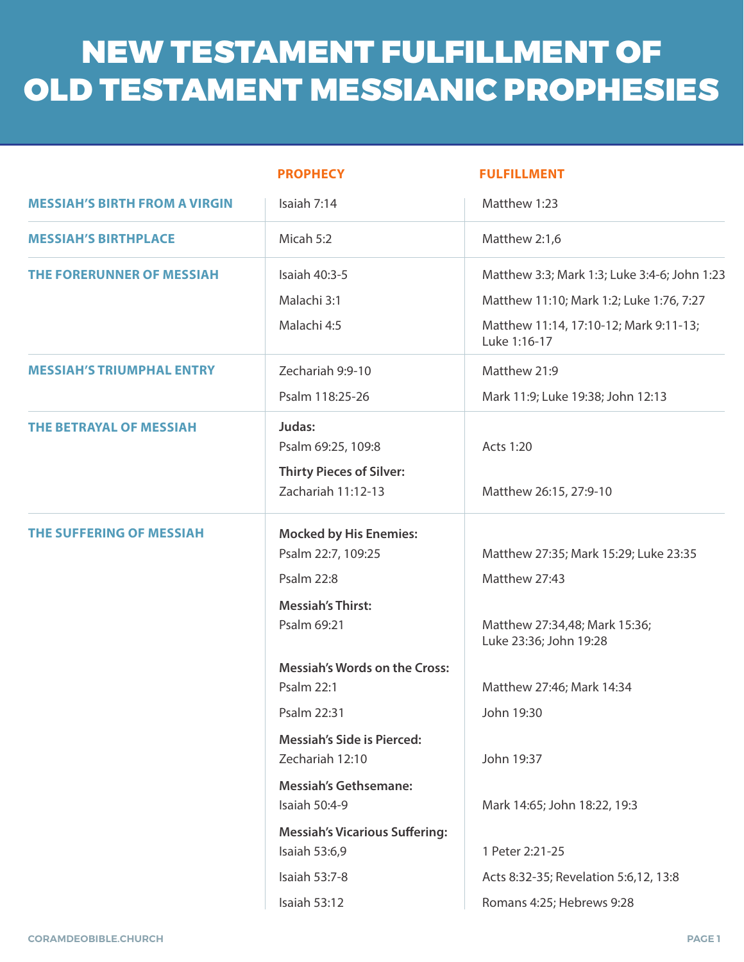# NEW TESTAMENT FULFILLMENT OF OLD TESTAMENT MESSIANIC PROPHESIES

|                                      | <b>PROPHECY</b>                                                                                                                                                                                                                                                                                          | <b>FULFILLMENT</b>                                                                                                                                                                                         |  |
|--------------------------------------|----------------------------------------------------------------------------------------------------------------------------------------------------------------------------------------------------------------------------------------------------------------------------------------------------------|------------------------------------------------------------------------------------------------------------------------------------------------------------------------------------------------------------|--|
| <b>MESSIAH'S BIRTH FROM A VIRGIN</b> | Isaiah 7:14                                                                                                                                                                                                                                                                                              | Matthew 1:23                                                                                                                                                                                               |  |
| <b>MESSIAH'S BIRTHPLACE</b>          | Micah 5:2                                                                                                                                                                                                                                                                                                | Matthew 2:1,6                                                                                                                                                                                              |  |
| THE FORERUNNER OF MESSIAH            | Isaiah 40:3-5<br>Malachi 3:1<br>Malachi 4:5                                                                                                                                                                                                                                                              | Matthew 3:3; Mark 1:3; Luke 3:4-6; John 1:23<br>Matthew 11:10; Mark 1:2; Luke 1:76, 7:27<br>Matthew 11:14, 17:10-12; Mark 9:11-13;<br>Luke 1:16-17                                                         |  |
| <b>MESSIAH'S TRIUMPHAL ENTRY</b>     | Zechariah 9:9-10<br>Psalm 118:25-26                                                                                                                                                                                                                                                                      | Matthew 21:9<br>Mark 11:9; Luke 19:38; John 12:13                                                                                                                                                          |  |
| <b>THE BETRAYAL OF MESSIAH</b>       | Judas:<br>Psalm 69:25, 109:8<br><b>Thirty Pieces of Silver:</b><br>Zachariah 11:12-13                                                                                                                                                                                                                    | Acts 1:20<br>Matthew 26:15, 27:9-10                                                                                                                                                                        |  |
| <b>THE SUFFERING OF MESSIAH</b>      | <b>Mocked by His Enemies:</b><br>Psalm 22:7, 109:25<br><b>Psalm 22:8</b><br><b>Messiah's Thirst:</b><br>Psalm 69:21<br><b>Messiah's Words on the Cross:</b><br><b>Psalm 22:1</b><br>Psalm 22:31<br><b>Messiah's Side is Pierced:</b><br>Zechariah 12:10<br><b>Messiah's Gethsemane:</b><br>Isaiah 50:4-9 | Matthew 27:35; Mark 15:29; Luke 23:35<br>Matthew 27:43<br>Matthew 27:34,48; Mark 15:36;<br>Luke 23:36; John 19:28<br>Matthew 27:46; Mark 14:34<br>John 19:30<br>John 19:37<br>Mark 14:65; John 18:22, 19:3 |  |
|                                      | <b>Messiah's Vicarious Suffering:</b><br>Isaiah 53:6,9<br>Isaiah 53:7-8<br><b>Isaiah 53:12</b>                                                                                                                                                                                                           | 1 Peter 2:21-25<br>Acts 8:32-35; Revelation 5:6,12, 13:8<br>Romans 4:25; Hebrews 9:28                                                                                                                      |  |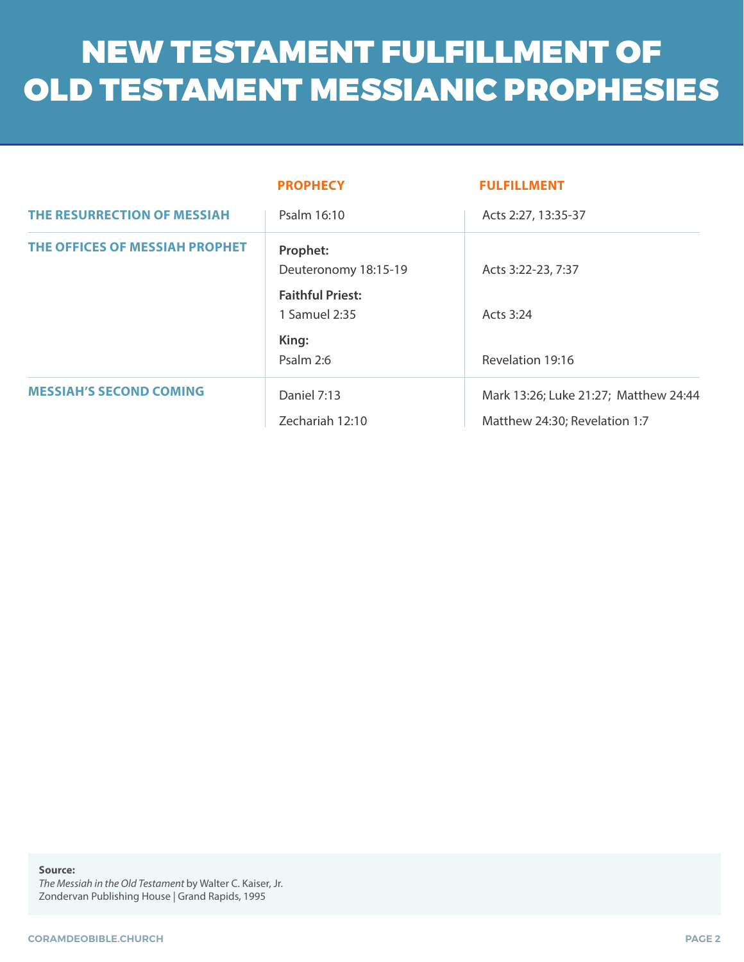# NEW TESTAMENT FULFILLMENT OF OLD TESTAMENT MESSIANIC PROPHESIES

|                                | <b>PROPHECY</b>                          | <b>FULFILLMENT</b>                    |  |
|--------------------------------|------------------------------------------|---------------------------------------|--|
| THE RESURRECTION OF MESSIAH    | Psalm 16:10                              | Acts 2:27, 13:35-37                   |  |
| THE OFFICES OF MESSIAH PROPHET | Prophet:<br>Deuteronomy 18:15-19         | Acts 3:22-23, 7:37                    |  |
|                                | <b>Faithful Priest:</b><br>1 Samuel 2:35 | Acts 3:24                             |  |
|                                | King:<br>Psalm 2:6                       | Revelation 19:16                      |  |
| <b>MESSIAH'S SECOND COMING</b> | Daniel 7:13                              | Mark 13:26; Luke 21:27; Matthew 24:44 |  |
|                                | Zechariah 12:10                          | Matthew 24:30; Revelation 1:7         |  |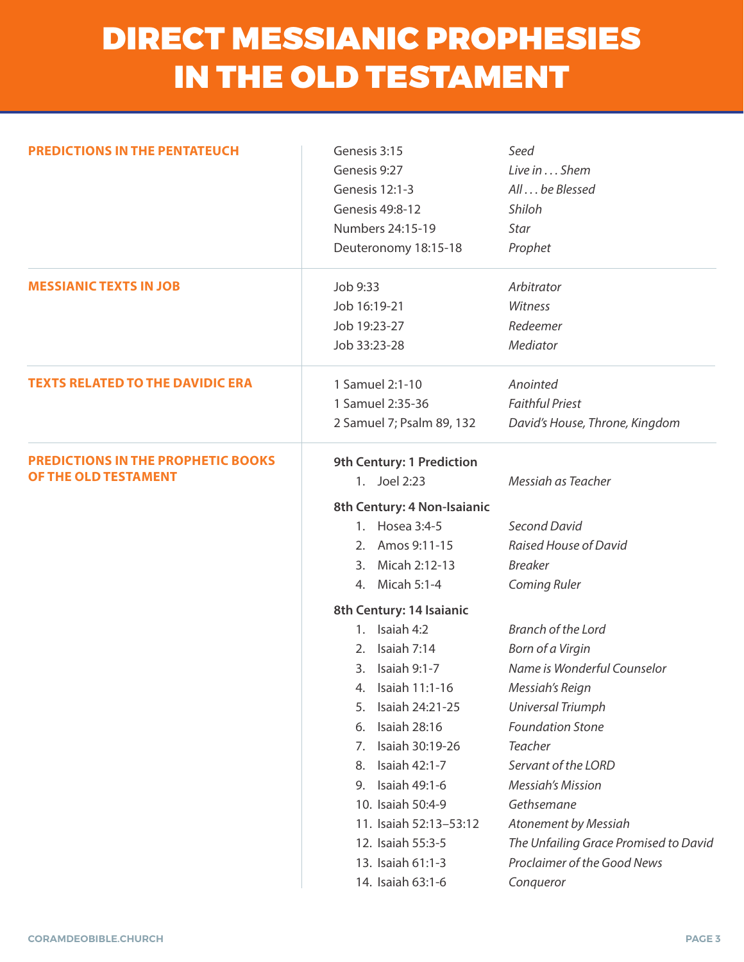## DIRECT MESSIANIC PROPHESIES IN THE OLD TESTAMENT

| <b>PREDICTIONS IN THE PENTATEUCH</b>                              | Genesis 3:15<br>Genesis 9:27<br>Genesis 12:1-3<br>Genesis 49:8-12<br>Numbers 24:15-19<br>Deuteronomy 18:15-18 | Seed<br>Live in Shem<br>All  be Blessed<br>Shiloh<br>Star<br>Prophet |  |
|-------------------------------------------------------------------|---------------------------------------------------------------------------------------------------------------|----------------------------------------------------------------------|--|
| <b>MESSIANIC TEXTS IN JOB</b>                                     | Job 9:33                                                                                                      | Arbitrator<br>Witness                                                |  |
|                                                                   | Job 16:19-21                                                                                                  |                                                                      |  |
|                                                                   | Job 19:23-27                                                                                                  | Redeemer                                                             |  |
|                                                                   | Job 33:23-28                                                                                                  | Mediator                                                             |  |
| <b>TEXTS RELATED TO THE DAVIDIC ERA</b>                           | 1 Samuel 2:1-10                                                                                               | Anointed                                                             |  |
|                                                                   | 1 Samuel 2:35-36                                                                                              | <b>Faithful Priest</b>                                               |  |
|                                                                   | 2 Samuel 7; Psalm 89, 132                                                                                     | David's House, Throne, Kingdom                                       |  |
| <b>PREDICTIONS IN THE PROPHETIC BOOKS</b><br>OF THE OLD TESTAMENT | 9th Century: 1 Prediction<br>1. Joel 2:23<br>Messiah as Teacher                                               |                                                                      |  |
|                                                                   | 8th Century: 4 Non-Isaianic                                                                                   |                                                                      |  |
|                                                                   | 1. Hosea 3:4-5                                                                                                | Second David                                                         |  |
|                                                                   | 2. Amos 9:11-15                                                                                               | Raised House of David                                                |  |
|                                                                   | Micah 2:12-13<br>3.                                                                                           | <b>Breaker</b>                                                       |  |
|                                                                   | 4. Micah 5:1-4                                                                                                | <b>Coming Ruler</b>                                                  |  |
|                                                                   | 8th Century: 14 Isaianic                                                                                      |                                                                      |  |
|                                                                   | 1. Isaiah $4:2$                                                                                               | Branch of the Lord                                                   |  |
|                                                                   | Isaiah 7:14<br>2.                                                                                             | Born of a Virgin                                                     |  |
|                                                                   | Isaiah 9:1-7<br>3.                                                                                            | Name is Wonderful Counselor                                          |  |
|                                                                   | Isaiah 11:1-16<br>4.                                                                                          | Messiah's Reign                                                      |  |
|                                                                   | Isaiah 24:21-25<br>5.                                                                                         | <b>Universal Triumph</b>                                             |  |
|                                                                   | Isaiah 28:16<br>6.                                                                                            | <b>Foundation Stone</b>                                              |  |
|                                                                   | Isaiah 30:19-26<br>7.                                                                                         | <b>Teacher</b>                                                       |  |
|                                                                   | Isaiah 42:1-7<br>8.                                                                                           | Servant of the LORD                                                  |  |
|                                                                   | Isaiah 49:1-6<br>9.                                                                                           | <b>Messigh's Mission</b>                                             |  |
|                                                                   | 10. Isaiah 50:4-9                                                                                             | Gethsemane                                                           |  |
|                                                                   | 11. Isaiah 52:13-53:12                                                                                        | <b>Atonement by Messiah</b>                                          |  |
|                                                                   | 12. Isaiah 55:3-5                                                                                             | The Unfailing Grace Promised to David                                |  |
|                                                                   | 13. Isaiah 61:1-3                                                                                             | Proclaimer of the Good News                                          |  |
|                                                                   | 14. Isaiah 63:1-6                                                                                             | Conqueror                                                            |  |